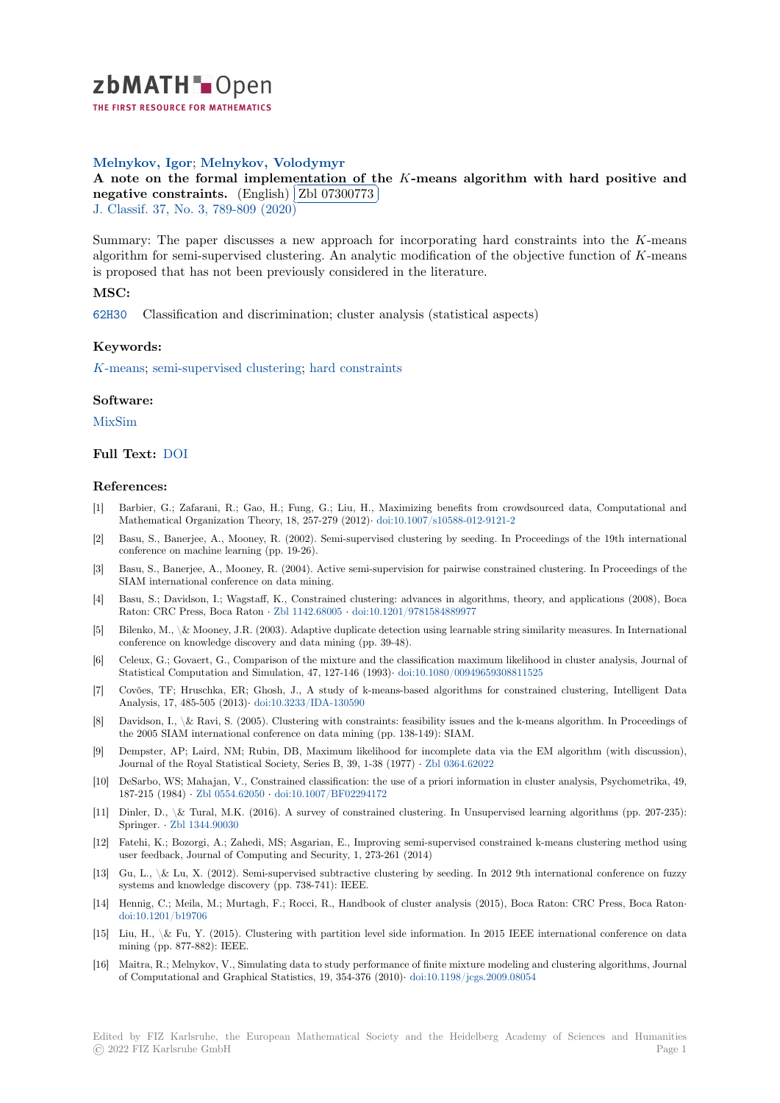

# **Melnykov, Igor**; **Melnykov, Volodymyr**

[A](https://zbmath.org/) note on the formal implementation of the *K*-means algorithm with hard positive and **negative constraints.** (English)  $Zb1 07300773$ <br>  $L \text{ Classif } 27 \text{ No } 2,780,800 (2020)$ Į.

J. Classif. 37, No. 3, 789-809 (2020)

[Summary: The paper discusses a new approach for incorporating hard constraints into the](https://zbmath.org/07300773) *K*-means [algorithm for semi-supe](https://zbmath.org/07300773)rvised clust[ering. An analyt](https://zbmath.org/07300773)ic modification of the objective function of *K*-means [is propose](https://zbmath.org/journals/?q=se:1027)[d that has not been previo](https://zbmath.org/?q=in:457510)usly considered in the literature.

## **MSC:**

62H30 Classification and discrimination; cluster analysis (statistical aspects)

### **Keywords:**

*K*[-mea](https://zbmath.org/classification/?q=cc:62H30)ns; semi-supervised clustering; hard constraints

### **Software:**

[MixSim](https://zbmath.org/?q=ut:%5C%28K%5C%29-means)

#### **Full Text:** DOI

#### **[Referen](https://swmath.org/software/7914)ces:**

- [1] Barbier, G.; Zafarani, R.; Gao, H.; Fung, G.; Liu, H., Maximizing benefits from crowdsourced data, Computational and Mathema[tical O](https://dx.doi.org/10.1007/s00357-019-09349-x)rganization Theory, 18, 257-279 (2012)*·* doi:10.1007/s10588-012-9121-2
- [2] Basu, S., Banerjee, A., Mooney, R. (2002). Semi-supervised clustering by seeding. In Proceedings of the 19th international conference on machine learning (pp. 19-26).
- [3] Basu, S., Banerjee, A., Mooney, R. (2004). Active semi-supervision for pairwise constrained clustering. In Proceedings of the SIAM international conference on data mining.
- [4] Basu, S.; Davidson, I.; Wagstaff, K., Constrained clustering: advances in algorithms, theory, and applications (2008), Boca Raton: CRC Press, Boca Raton *·* Zbl 1142.68005 *·* doi:10.1201/9781584889977
- [5] Bilenko, M., \& Mooney, J.R. (2003). Adaptive duplicate detection using learnable string similarity measures. In International conference on knowledge discovery and data mining (pp. 39-48).
- [6] Celeux, G.; Govaert, G., Comparison of the mixture and the classification maximum likelihood in cluster analysis, Journal of Statistical Computation and Sim[ulation, 47, 127-](https://zbmath.org/1142.68005)146 (1993)*·* [doi:10.1080/00949](https://dx.doi.org/10.1201/9781584889977)659308811525
- [7] Covões, TF; Hruschka, ER; Ghosh, J., A study of k-means-based algorithms for constrained clustering, Intelligent Data Analysis, 17, 485-505 (2013)*·* doi:10.3233/IDA-130590
- Davidson, I., \& Ravi, S. (2005). Clustering with constraints: feasibility issues and the k-means algorithm. In Proceedings of the 2005 SIAM international conference on data mining (pp. [138-149\): SIAM.](https://dx.doi.org/10.1080/00949659308811525)
- Dempster, AP; Laird, NM; Rubin, DB, Maximum likelihood for incomplete data via the EM algorithm (with discussion), Journal of the Royal Statistic[al Society, Series B, 39, 1](https://dx.doi.org/10.3233/IDA-130590)-38 (1977) *·* Zbl 0364.62022
- [10] DeSarbo, WS; Mahajan, V., Constrained classification: the use of a priori information in cluster analysis, Psychometrika, 49, 187-215 (1984) *·* Zbl 0554.62050 *·* doi:10.1007/BF02294172
- [11] Dinler, D., \& Tural, M.K. (2016). A survey of constrained clustering. In Unsupervised learning algorithms (pp. 207-235): Springer. *·* Zbl 1344.90030
- [12] Fatehi, K.; Bozorgi, A.; Zahedi, MS; Asgarian, E., Improving semi-supervised constrained k-means clustering method using user feedback, J[ournal of Compu](https://zbmath.org/0554.62050)t[ing and Security, 1, 273-2](https://dx.doi.org/10.1007/BF02294172)61 (2014)
- [13] Gu, L., \& Lu, X. (2012). Semi-supervised subtractive clustering by seeding. In 2012 9th international conference on fuzzy systems an[d knowledge dis](https://zbmath.org/1344.90030)covery (pp. 738-741): IEEE.
- [14] Hennig, C.; Meila, M.; Murtagh, F.; Rocci, R., Handbook of cluster analysis (2015), Boca Raton: CRC Press, Boca Raton*·* doi:10.1201/b19706
- [15] Liu, H.,  $\&$  Fu, Y. (2015). Clustering with partition level side information. In 2015 IEEE international conference on data mining (pp. 877-882): IEEE.
- [16] Maitra, R.; Melnykov, V., Simulating data to study performance of finite mixture modeling and clustering algorithms, Journal [of Computational a](https://dx.doi.org/10.1201/b19706)nd Graphical Statistics, 19, 354-376 (2010)*·* doi:10.1198/jcgs.2009.08054